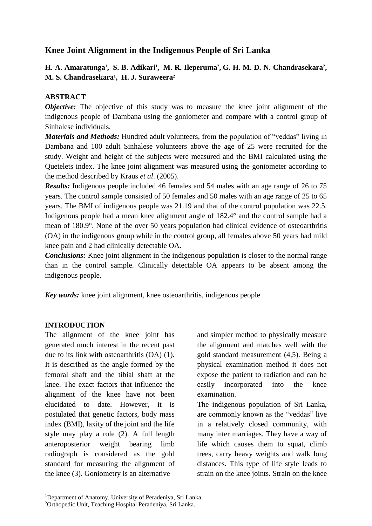## **Knee Joint Alignment in the Indigenous People of Sri Lanka**

## **H. A. Amaratunga<sup>1</sup> , S. B. Adikari<sup>1</sup> , M. R. Ileperuma<sup>2</sup> , G. H. M. D. N. Chandrasekara<sup>2</sup> , M. S. Chandrasekara<sup>1</sup> , H. J. Suraweera<sup>2</sup>**

#### **ABSTRACT**

*Objective:* The objective of this study was to measure the knee joint alignment of the indigenous people of Dambana using the goniometer and compare with a control group of Sinhalese individuals.

*Materials and Methods:* Hundred adult volunteers, from the population of "veddas" living in Dambana and 100 adult Sinhalese volunteers above the age of 25 were recruited for the study. Weight and height of the subjects were measured and the BMI calculated using the Quetelets index. The knee joint alignment was measured using the goniometer according to the method described by Kraus *et al*. (2005).

*Results:* Indigenous people included 46 females and 54 males with an age range of 26 to 75 years. The control sample consisted of 50 females and 50 males with an age range of 25 to 65 years. The BMI of indigenous people was 21.19 and that of the control population was 22.5. Indigenous people had a mean knee alignment angle of 182.4° and the control sample had a mean of 180.9°. None of the over 50 years population had clinical evidence of osteoarthritis (OA) in the indigenous group while in the control group, all females above 50 years had mild knee pain and 2 had clinically detectable OA.

*Conclusions:* Knee joint alignment in the indigenous population is closer to the normal range than in the control sample. Clinically detectable OA appears to be absent among the indigenous people.

*Key words:* knee joint alignment, knee osteoarthritis, indigenous people

#### **INTRODUCTION**

The alignment of the knee joint has generated much interest in the recent past due to its link with osteoarthritis (OA) (1). It is described as the angle formed by the femoral shaft and the tibial shaft at the knee. The exact factors that influence the alignment of the knee have not been elucidated to date. However, it is postulated that genetic factors, body mass index (BMI), laxity of the joint and the life style may play a role (2). A full length anteroposterior weight bearing limb radiograph is considered as the gold standard for measuring the alignment of the knee (3). Goniometry is an alternative

and simpler method to physically measure the alignment and matches well with the gold standard measurement (4,5). Being a physical examination method it does not expose the patient to radiation and can be easily incorporated into the knee examination.

The indigenous population of Sri Lanka, are commonly known as the "veddas" live in a relatively closed community, with many inter marriages. They have a way of life which causes them to squat, climb trees, carry heavy weights and walk long distances. This type of life style leads to strain on the knee joints. Strain on the knee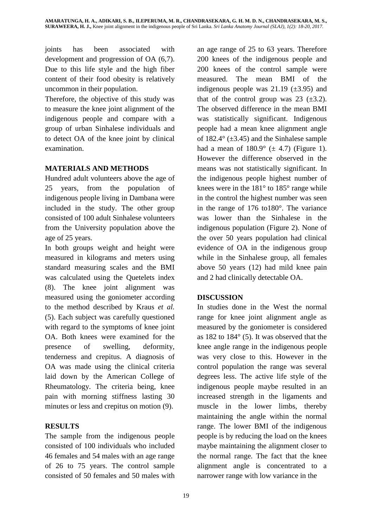joints has been associated with development and progression of OA (6,7). Due to this life style and the high fiber content of their food obesity is relatively uncommon in their population.

Therefore, the objective of this study was to measure the knee joint alignment of the indigenous people and compare with a group of urban Sinhalese individuals and to detect OA of the knee joint by clinical examination.

#### **MATERIALS AND METHODS**

Hundred adult volunteers above the age of 25 years, from the population of indigenous people living in Dambana were included in the study. The other group consisted of 100 adult Sinhalese volunteers from the University population above the age of 25 years.

In both groups weight and height were measured in kilograms and meters using standard measuring scales and the BMI was calculated using the Quetelets index (8). The knee joint alignment was measured using the goniometer according to the method described by Kraus *et al.* (5). Each subject was carefully questioned with regard to the symptoms of knee joint OA. Both knees were examined for the presence of swelling, deformity, tenderness and crepitus. A diagnosis of OA was made using the clinical criteria laid down by the American College of Rheumatology. The criteria being, knee pain with morning stiffness lasting 30 minutes or less and crepitus on motion (9).

# **RESULTS**

The sample from the indigenous people consisted of 100 individuals who included 46 females and 54 males with an age range of 26 to 75 years. The control sample consisted of 50 females and 50 males with an age range of 25 to 63 years. Therefore 200 knees of the indigenous people and 200 knees of the control sample were measured. The mean BMI of the indigenous people was  $21.19$  ( $\pm 3.95$ ) and that of the control group was 23  $(\pm 3.2)$ . The observed difference in the mean BMI was statistically significant. Indigenous people had a mean knee alignment angle of  $182.4^{\circ}$  ( $\pm 3.45$ ) and the Sinhalese sample had a mean of  $180.9^{\circ}$  ( $\pm$  4.7) (Figure 1). However the difference observed in the means was not statistically significant. In the indigenous people highest number of knees were in the 181° to 185° range while in the control the highest number was seen in the range of 176 to180°. The variance was lower than the Sinhalese in the indigenous population (Figure 2). None of the over 50 years population had clinical evidence of OA in the indigenous group while in the Sinhalese group, all females above 50 years (12) had mild knee pain and 2 had clinically detectable OA.

# **DISCUSSION**

In studies done in the West the normal range for knee joint alignment angle as measured by the goniometer is considered as 182 to 184° (5). It was observed that the knee angle range in the indigenous people was very close to this. However in the control population the range was several degrees less. The active life style of the indigenous people maybe resulted in an increased strength in the ligaments and muscle in the lower limbs, thereby maintaining the angle within the normal range. The lower BMI of the indigenous people is by reducing the load on the knees maybe maintaining the alignment closer to the normal range. The fact that the knee alignment angle is concentrated to a narrower range with low variance in the